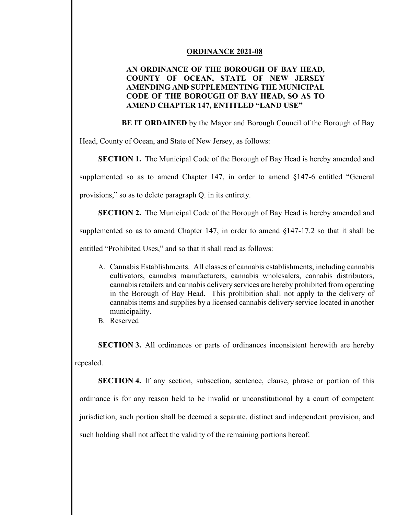## **ORDINANCE 2021-08**

## **AN ORDINANCE OF THE BOROUGH OF BAY HEAD, COUNTY OF OCEAN, STATE OF NEW JERSEY AMENDING AND SUPPLEMENTING THE MUNICIPAL CODE OF THE BOROUGH OF BAY HEAD, SO AS TO AMEND CHAPTER 147, ENTITLED "LAND USE"**

 **BE IT ORDAINED** by the Mayor and Borough Council of the Borough of Bay

Head, County of Ocean, and State of New Jersey, as follows:

**SECTION 1.** The Municipal Code of the Borough of Bay Head is hereby amended and

supplemented so as to amend Chapter 147, in order to amend §147-6 entitled "General

provisions," so as to delete paragraph Q. in its entirety.

**SECTION 2.** The Municipal Code of the Borough of Bay Head is hereby amended and

supplemented so as to amend Chapter 147, in order to amend §147-17.2 so that it shall be

entitled "Prohibited Uses," and so that it shall read as follows:

- A. Cannabis Establishments. All classes of cannabis establishments, including cannabis cultivators, cannabis manufacturers, cannabis wholesalers, cannabis distributors, cannabis retailers and cannabis delivery services are hereby prohibited from operating in the Borough of Bay Head. This prohibition shall not apply to the delivery of cannabis items and supplies by a licensed cannabis delivery service located in another municipality.
- B. Reserved

**SECTION 3.** All ordinances or parts of ordinances inconsistent herewith are hereby repealed.

**SECTION 4.** If any section, subsection, sentence, clause, phrase or portion of this ordinance is for any reason held to be invalid or unconstitutional by a court of competent jurisdiction, such portion shall be deemed a separate, distinct and independent provision, and such holding shall not affect the validity of the remaining portions hereof.